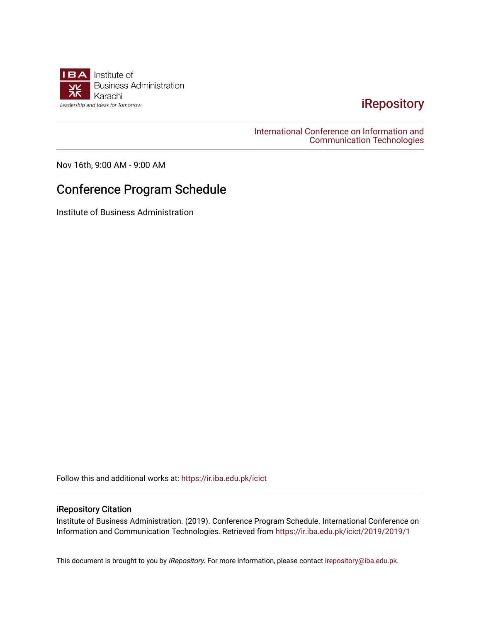

## [iRepository](https://ir.iba.edu.pk/)

[International Conference on Information and](https://ir.iba.edu.pk/icict)  [Communication Technologies](https://ir.iba.edu.pk/icict) 

Nov 16th, 9:00 AM - 9:00 AM

## Conference Program Schedule

Institute of Business Administration

Follow this and additional works at: [https://ir.iba.edu.pk/icict](https://ir.iba.edu.pk/icict?utm_source=ir.iba.edu.pk%2Ficict%2F2019%2F2019%2F1&utm_medium=PDF&utm_campaign=PDFCoverPages) 

## iRepository Citation

Institute of Business Administration. (2019). Conference Program Schedule. International Conference on Information and Communication Technologies. Retrieved from [https://ir.iba.edu.pk/icict/2019/2019/1](https://ir.iba.edu.pk/icict/2019/2019/1?utm_source=ir.iba.edu.pk%2Ficict%2F2019%2F2019%2F1&utm_medium=PDF&utm_campaign=PDFCoverPages) 

This document is brought to you by iRepository. For more information, please contact [irepository@iba.edu.pk](mailto:irepository@iba.edu.pk).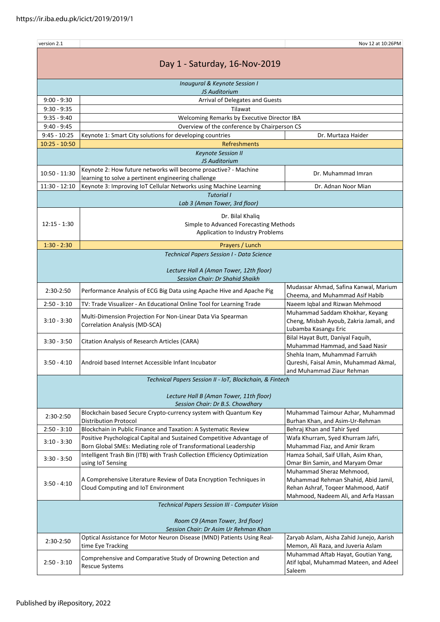| version 2.1                                                                |                                                                                                           | Nov 12 at 10:26PM                                                                                                                              |  |  |  |
|----------------------------------------------------------------------------|-----------------------------------------------------------------------------------------------------------|------------------------------------------------------------------------------------------------------------------------------------------------|--|--|--|
| Day 1 - Saturday, 16-Nov-2019                                              |                                                                                                           |                                                                                                                                                |  |  |  |
| <b>Inaugural &amp; Keynote Session I</b><br>JS Auditorium                  |                                                                                                           |                                                                                                                                                |  |  |  |
|                                                                            |                                                                                                           |                                                                                                                                                |  |  |  |
| $9:00 - 9:30$                                                              | Arrival of Delegates and Guests                                                                           |                                                                                                                                                |  |  |  |
| $9:30 - 9:35$                                                              | Tilawat                                                                                                   |                                                                                                                                                |  |  |  |
| $9:35 - 9:40$                                                              | Welcoming Remarks by Executive Director IBA                                                               |                                                                                                                                                |  |  |  |
| $9:40 - 9:45$                                                              | Overview of the conference by Chairperson CS                                                              |                                                                                                                                                |  |  |  |
| $9:45 - 10:25$                                                             | Keynote 1: Smart City solutions for developing countries                                                  | Dr. Murtaza Haider                                                                                                                             |  |  |  |
| $10:25 - 10:50$                                                            | Refreshments                                                                                              |                                                                                                                                                |  |  |  |
|                                                                            | <b>Keynote Session II</b>                                                                                 |                                                                                                                                                |  |  |  |
|                                                                            | JS Auditorium                                                                                             |                                                                                                                                                |  |  |  |
| $10:50 - 11:30$                                                            | Keynote 2: How future networks will become proactive? - Machine                                           | Dr. Muhammad Imran                                                                                                                             |  |  |  |
|                                                                            | learning to solve a pertinent engineering challenge                                                       |                                                                                                                                                |  |  |  |
| $11:30 - 12:10$                                                            | Keynote 3: Improving IoT Cellular Networks using Machine Learning                                         | Dr. Adnan Noor Mian                                                                                                                            |  |  |  |
|                                                                            | <b>Tutorial I</b>                                                                                         |                                                                                                                                                |  |  |  |
|                                                                            | Lab 3 (Aman Tower, 3rd floor)                                                                             |                                                                                                                                                |  |  |  |
|                                                                            | Dr. Bilal Khaliq                                                                                          |                                                                                                                                                |  |  |  |
| $12:15 - 1:30$                                                             | Simple to Advanced Forecasting Methods                                                                    |                                                                                                                                                |  |  |  |
|                                                                            | Application to Industry Problems                                                                          |                                                                                                                                                |  |  |  |
|                                                                            |                                                                                                           |                                                                                                                                                |  |  |  |
| $1:30 - 2:30$                                                              | Prayers / Lunch                                                                                           |                                                                                                                                                |  |  |  |
|                                                                            | Technical Papers Session I - Data Science                                                                 |                                                                                                                                                |  |  |  |
| Lecture Hall A (Aman Tower, 12th floor)<br>Session Chair: Dr Shahid Shaikh |                                                                                                           |                                                                                                                                                |  |  |  |
| 2:30-2:50                                                                  | Performance Analysis of ECG Big Data using Apache Hive and Apache Pig                                     | Mudassar Ahmad, Safina Kanwal, Marium<br>Cheema, and Muhammad Asif Habib                                                                       |  |  |  |
| $2:50 - 3:10$                                                              | TV: Trade Visualizer - An Educational Online Tool for Learning Trade                                      | Naeem Iqbal and Rizwan Mehmood                                                                                                                 |  |  |  |
| $3:10 - 3:30$                                                              | Multi-Dimension Projection For Non-Linear Data Via Spearman<br>Correlation Analysis (MD-SCA)              | Muhammad Saddam Khokhar, Keyang<br>Cheng, Misbah Ayoub, Zakria Jamali, and<br>Lubamba Kasangu Eric                                             |  |  |  |
| $3:30 - 3:50$                                                              | Citation Analysis of Research Articles (CARA)                                                             | Bilal Hayat Butt, Daniyal Faquih,<br>Muhammad Hammad, and Saad Nasir                                                                           |  |  |  |
| $3:50 - 4:10$                                                              | Android based Internet Accessible Infant Incubator                                                        | Shehla Inam, Muhammad Farrukh<br>Qureshi, Faisal Amin, Muhammad Akmal,<br>and Muhammad Ziaur Rehman                                            |  |  |  |
| Technical Papers Session II - IoT, Blockchain, & Fintech                   |                                                                                                           |                                                                                                                                                |  |  |  |
|                                                                            |                                                                                                           |                                                                                                                                                |  |  |  |
|                                                                            | Lecture Hall B (Aman Tower, 11th floor)<br>Session Chair: Dr B.S. Chowdhary                               |                                                                                                                                                |  |  |  |
|                                                                            | Blockchain based Secure Crypto-currency system with Quantum Key                                           | Muhammad Taimour Azhar, Muhammad                                                                                                               |  |  |  |
| 2:30-2:50                                                                  | <b>Distribution Protocol</b>                                                                              | Burhan Khan, and Asim-Ur-Rehman                                                                                                                |  |  |  |
| $2:50 - 3:10$                                                              | Blockchain in Public Finance and Taxation: A Systematic Review                                            | Behraj Khan and Tahir Syed                                                                                                                     |  |  |  |
|                                                                            | Positive Psychological Capital and Sustained Competitive Advantage of                                     | Wafa Khurram, Syed Khurram Jafri,                                                                                                              |  |  |  |
| $3:10 - 3:30$                                                              | Born Global SMEs: Mediating role of Transformational Leadership                                           | Muhammad Fiaz, and Amir Ikram                                                                                                                  |  |  |  |
|                                                                            | Intelligent Trash Bin (ITB) with Trash Collection Efficiency Optimization                                 | Hamza Sohail, Saif Ullah, Asim Khan,                                                                                                           |  |  |  |
| $3:30 - 3:50$                                                              | using IoT Sensing                                                                                         | Omar Bin Samin, and Maryam Omar                                                                                                                |  |  |  |
| $3:50 - 4:10$                                                              | A Comprehensive Literature Review of Data Encryption Techniques in<br>Cloud Computing and IoT Environment | Muhammad Sheraz Mehmood,<br>Muhammad Rehman Shahid, Abid Jamil,<br>Rehan Ashraf, Toqeer Mahmood, Aatif<br>Mahmood, Nadeem Ali, and Arfa Hassan |  |  |  |
| Technical Papers Session III - Computer Vision                             |                                                                                                           |                                                                                                                                                |  |  |  |
|                                                                            |                                                                                                           |                                                                                                                                                |  |  |  |
| Room C9 (Aman Tower, 3rd floor)                                            |                                                                                                           |                                                                                                                                                |  |  |  |
| Session Chair: Dr Asim Ur Rehman Khan                                      |                                                                                                           |                                                                                                                                                |  |  |  |
| 2:30-2:50                                                                  | Optical Assistance for Motor Neuron Disease (MND) Patients Using Real-<br>time Eye Tracking               | Zaryab Aslam, Aisha Zahid Junejo, Aarish<br>Memon, Ali Raza, and Juveria Aslam                                                                 |  |  |  |
| $2:50 - 3:10$                                                              | Comprehensive and Comparative Study of Drowning Detection and<br>Rescue Systems                           | Muhammad Aftab Hayat, Goutian Yang,<br>Atif Iqbal, Muhammad Mateen, and Adeel<br>Saleem                                                        |  |  |  |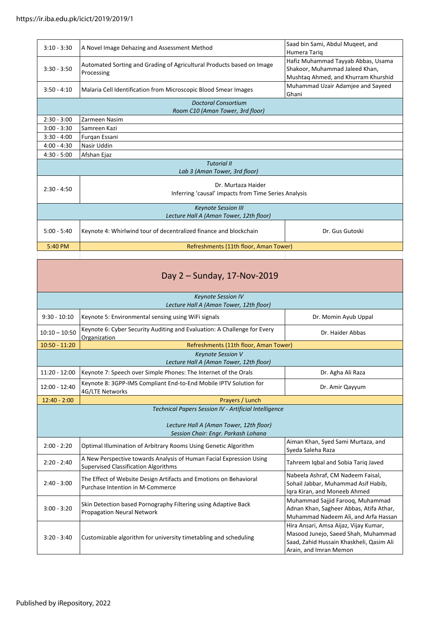| $3:10 - 3:30$                           | A Novel Image Dehazing and Assessment Method                                        | Saad bin Sami, Abdul Mugeet, and<br>Humera Tarig                                                            |  |  |
|-----------------------------------------|-------------------------------------------------------------------------------------|-------------------------------------------------------------------------------------------------------------|--|--|
| $3:30 - 3:50$                           | Automated Sorting and Grading of Agricultural Products based on Image<br>Processing | Hafiz Muhammad Tayyab Abbas, Usama<br>Shakoor, Muhammad Jaleed Khan,<br>Mushtaq Ahmed, and Khurram Khurshid |  |  |
| $3:50 - 4:10$                           | Malaria Cell Identification from Microscopic Blood Smear Images                     | Muhammad Uzair Adamjee and Sayeed<br>Ghani                                                                  |  |  |
| <b>Doctoral Consortium</b>              |                                                                                     |                                                                                                             |  |  |
| Room C10 (Aman Tower, 3rd floor)        |                                                                                     |                                                                                                             |  |  |
| $2:30 - 3:00$                           | Zarmeen Nasim                                                                       |                                                                                                             |  |  |
| $3:00 - 3:30$                           | Samreen Kazi                                                                        |                                                                                                             |  |  |
| $3:30 - 4:00$                           | Furqan Essani                                                                       |                                                                                                             |  |  |
| $4:00 - 4:30$                           | Nasir Uddin                                                                         |                                                                                                             |  |  |
| $4:30 - 5:00$                           | Afshan Ejaz                                                                         |                                                                                                             |  |  |
| <b>Tutorial II</b>                      |                                                                                     |                                                                                                             |  |  |
| Lab 3 (Aman Tower, 3rd floor)           |                                                                                     |                                                                                                             |  |  |
| $2:30 - 4:50$                           | Dr. Murtaza Haider<br>Inferring 'causal' impacts from Time Series Analysis          |                                                                                                             |  |  |
| <b>Keynote Session III</b>              |                                                                                     |                                                                                                             |  |  |
| Lecture Hall A (Aman Tower, 12th floor) |                                                                                     |                                                                                                             |  |  |
| $5:00 - 5:40$                           | Keynote 4: Whirlwind tour of decentralized finance and blockchain                   | Dr. Gus Gutoski                                                                                             |  |  |
| 5:40 PM                                 | Refreshments (11th floor, Aman Tower)                                               |                                                                                                             |  |  |
|                                         |                                                                                     |                                                                                                             |  |  |

Day 2 – Sunday, 17-Nov-2019

| <b>Keynote Session IV</b><br>Lecture Hall A (Aman Tower, 12th floor)                                                                    |                                                                                                                    |                                                                                                                     |  |  |
|-----------------------------------------------------------------------------------------------------------------------------------------|--------------------------------------------------------------------------------------------------------------------|---------------------------------------------------------------------------------------------------------------------|--|--|
| $9:30 - 10:10$                                                                                                                          | Keynote 5: Environmental sensing using WiFi signals                                                                | Dr. Momin Ayub Uppal                                                                                                |  |  |
| $10:10 - 10:50$                                                                                                                         | Keynote 6: Cyber Security Auditing and Evaluation: A Challenge for Every<br>Organization                           | Dr. Haider Abbas                                                                                                    |  |  |
| $10:50 - 11:20$                                                                                                                         | Refreshments (11th floor, Aman Tower)                                                                              |                                                                                                                     |  |  |
| Keynote Session V<br>Lecture Hall A (Aman Tower, 12th floor)                                                                            |                                                                                                                    |                                                                                                                     |  |  |
| $11:20 - 12:00$                                                                                                                         | Keynote 7: Speech over Simple Phones: The Internet of the Orals                                                    | Dr. Agha Ali Raza                                                                                                   |  |  |
| 12:00 - 12:40                                                                                                                           | Keynote 8: 3GPP-IMS Compliant End-to-End Mobile IPTV Solution for<br>4G/LTE Networks                               | Dr. Amir Qayyum                                                                                                     |  |  |
| $12:40 - 2:00$                                                                                                                          | Prayers / Lunch                                                                                                    |                                                                                                                     |  |  |
| Technical Papers Session IV - Artificial Intelligence<br>Lecture Hall A (Aman Tower, 12th floor)<br>Session Chair: Engr. Parkash Lohana |                                                                                                                    |                                                                                                                     |  |  |
| $2:00 - 2:20$                                                                                                                           | Optimal Illumination of Arbitrary Rooms Using Genetic Algorithm                                                    | Aiman Khan, Syed Sami Murtaza, and<br>Syeda Saleha Raza                                                             |  |  |
| $2:20 - 2:40$                                                                                                                           | A New Perspective towards Analysis of Human Facial Expression Using<br><b>Supervised Classification Algorithms</b> | Tahreem Iqbal and Sobia Tariq Javed                                                                                 |  |  |
| $2:40 - 3:00$                                                                                                                           | The Effect of Website Design Artifacts and Emotions on Behavioral<br>Purchase Intention in M-Commerce              | Nabeela Ashraf, CM Nadeem Faisal,<br>Sohail Jabbar, Muhammad Asif Habib,<br>Igra Kiran, and Moneeb Ahmed            |  |  |
| $3:00 - 3:20$                                                                                                                           | Skin Detection based Pornography Filtering using Adaptive Back<br><b>Propagation Neural Network</b>                | Muhammad Sajjid Farooq, Muhammad<br>Adnan Khan, Sagheer Abbas, Atifa Athar,<br>Muhammad Nadeem Ali, and Arfa Hassan |  |  |
|                                                                                                                                         |                                                                                                                    | Hira Ansari, Amsa Aijaz, Vijay Kumar,                                                                               |  |  |

Masood Junejo, Saeed Shah, Muhammad Saad, Zahid Hussain Khaskheli, Qasim Ali

Arain, and Imran Memon

3:20 - 3:40 Customizable algorithm for university timetabling and scheduling